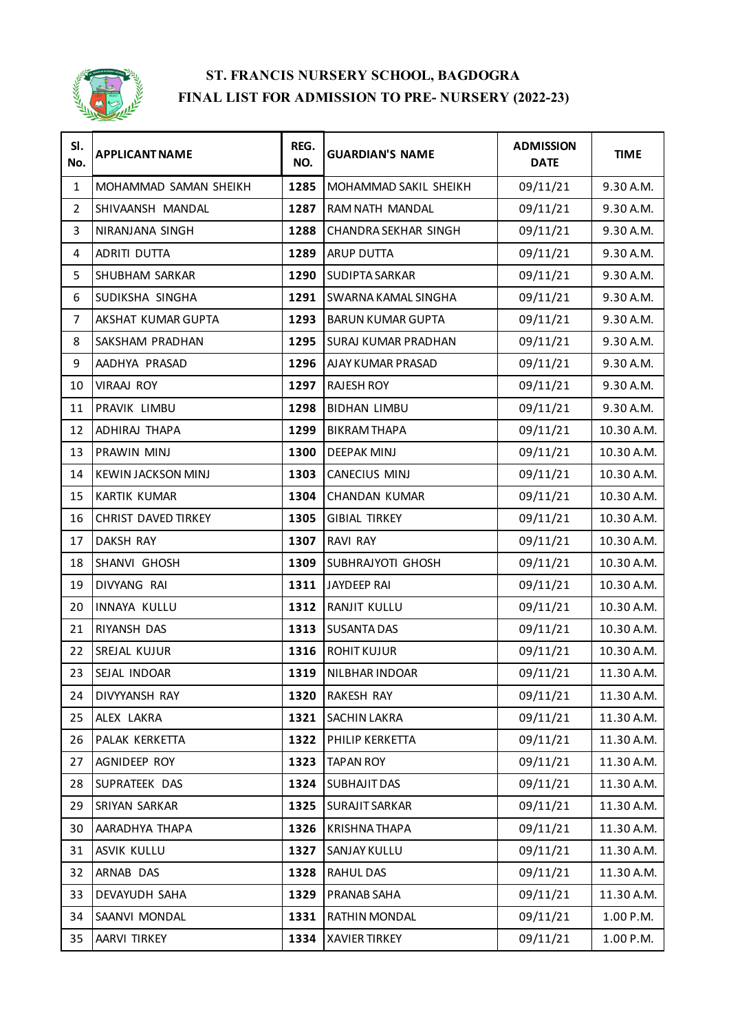

| SI.<br>No.     | <b>APPLICANT NAME</b>      | REG.<br>NO. | <b>GUARDIAN'S NAME</b>   | <b>ADMISSION</b><br><b>DATE</b> | <b>TIME</b> |
|----------------|----------------------------|-------------|--------------------------|---------------------------------|-------------|
| 1              | MOHAMMAD SAMAN SHEIKH      | 1285        | MOHAMMAD SAKIL SHEIKH    | 09/11/21                        | 9.30 A.M.   |
| $\overline{2}$ | SHIVAANSH MANDAL           | 1287        | RAM NATH MANDAL          | 09/11/21                        | 9.30 A.M.   |
| 3              | NIRANJANA SINGH            | 1288        | CHANDRA SEKHAR SINGH     | 09/11/21                        | 9.30 A.M.   |
| 4              | ADRITI DUTTA               | 1289        | <b>ARUP DUTTA</b>        | 09/11/21                        | 9.30 A.M.   |
| 5              | SHUBHAM SARKAR             | 1290        | SUDIPTA SARKAR           | 09/11/21                        | 9.30 A.M.   |
| 6              | SUDIKSHA SINGHA            | 1291        | SWARNA KAMAL SINGHA      | 09/11/21                        | 9.30 A.M.   |
| $\overline{7}$ | AKSHAT KUMAR GUPTA         | 1293        | <b>BARUN KUMAR GUPTA</b> | 09/11/21                        | 9.30 A.M.   |
| 8              | SAKSHAM PRADHAN            | 1295        | SURAJ KUMAR PRADHAN      | 09/11/21                        | 9.30 A.M.   |
| 9              | AADHYA PRASAD              | 1296        | AJAY KUMAR PRASAD        | 09/11/21                        | 9.30 A.M.   |
| 10             | <b>VIRAAJ ROY</b>          | 1297        | <b>RAJESH ROY</b>        | 09/11/21                        | 9.30 A.M.   |
| 11             | PRAVIK LIMBU               | 1298        | <b>BIDHAN LIMBU</b>      | 09/11/21                        | 9.30 A.M.   |
| 12             | ADHIRAJ THAPA              | 1299        | <b>BIKRAM THAPA</b>      | 09/11/21                        | 10.30 A.M.  |
| 13             | PRAWIN MINJ                | 1300        | <b>DEEPAK MINJ</b>       | 09/11/21                        | 10.30 A.M.  |
| 14             | KEWIN JACKSON MINJ         | 1303        | CANECIUS MINJ            | 09/11/21                        | 10.30 A.M.  |
| 15             | <b>KARTIK KUMAR</b>        | 1304        | <b>CHANDAN KUMAR</b>     | 09/11/21                        | 10.30 A.M.  |
| 16             | <b>CHRIST DAVED TIRKEY</b> | 1305        | <b>GIBIAL TIRKEY</b>     | 09/11/21                        | 10.30 A.M.  |
| 17             | DAKSH RAY                  | 1307        | RAVI RAY                 | 09/11/21                        | 10.30 A.M.  |
| 18             | SHANVI GHOSH               | 1309        | SUBHRAJYOTI GHOSH        | 09/11/21                        | 10.30 A.M.  |
| 19             | DIVYANG RAI                | 1311        | JAYDEEP RAI              | 09/11/21                        | 10.30 A.M.  |
| 20             | INNAYA KULLU               | 1312        | RANJIT KULLU             | 09/11/21                        | 10.30 A.M.  |
| 21             | RIYANSH DAS                | 1313        | <b>SUSANTA DAS</b>       | 09/11/21                        | 10.30 A.M.  |
| 22             | SREJAL KUJUR               | 1316        | <b>ROHIT KUJUR</b>       | 09/11/21                        | 10.30 A.M.  |
| 23             | SEJAL INDOAR               | 1319        | <b>NILBHAR INDOAR</b>    | 09/11/21                        | 11.30 A.M.  |
| 24             | DIVYYANSH RAY              | 1320        | RAKESH RAY               | 09/11/21                        | 11.30 A.M.  |
| 25             | ALEX LAKRA                 | 1321        | SACHIN LAKRA             | 09/11/21                        | 11.30 A.M.  |
| 26             | PALAK KERKETTA             | 1322        | PHILIP KERKETTA          | 09/11/21                        | 11.30 A.M.  |
| 27             | AGNIDEEP ROY               | 1323        | <b>TAPAN ROY</b>         | 09/11/21                        | 11.30 A.M.  |
| 28             | SUPRATEEK DAS              | 1324        | SUBHAJIT DAS             | 09/11/21                        | 11.30 A.M.  |
| 29             | SRIYAN SARKAR              | 1325        | <b>SURAJIT SARKAR</b>    | 09/11/21                        | 11.30 A.M.  |
| 30             | AARADHYA THAPA             | 1326        | <b>KRISHNATHAPA</b>      | 09/11/21                        | 11.30 A.M.  |
| 31             | ASVIK KULLU                | 1327        | SANJAY KULLU             | 09/11/21                        | 11.30 A.M.  |
| 32             | ARNAB DAS                  | 1328        | RAHUL DAS                | 09/11/21                        | 11.30 A.M.  |
| 33             | DEVAYUDH SAHA              | 1329        | PRANAB SAHA              | 09/11/21                        | 11.30 A.M.  |
| 34             | SAANVI MONDAL              | 1331        | RATHIN MONDAL            | 09/11/21                        | 1.00 P.M.   |
| 35             | AARVI TIRKEY               | 1334        | <b>XAVIER TIRKEY</b>     | 09/11/21                        | 1.00 P.M.   |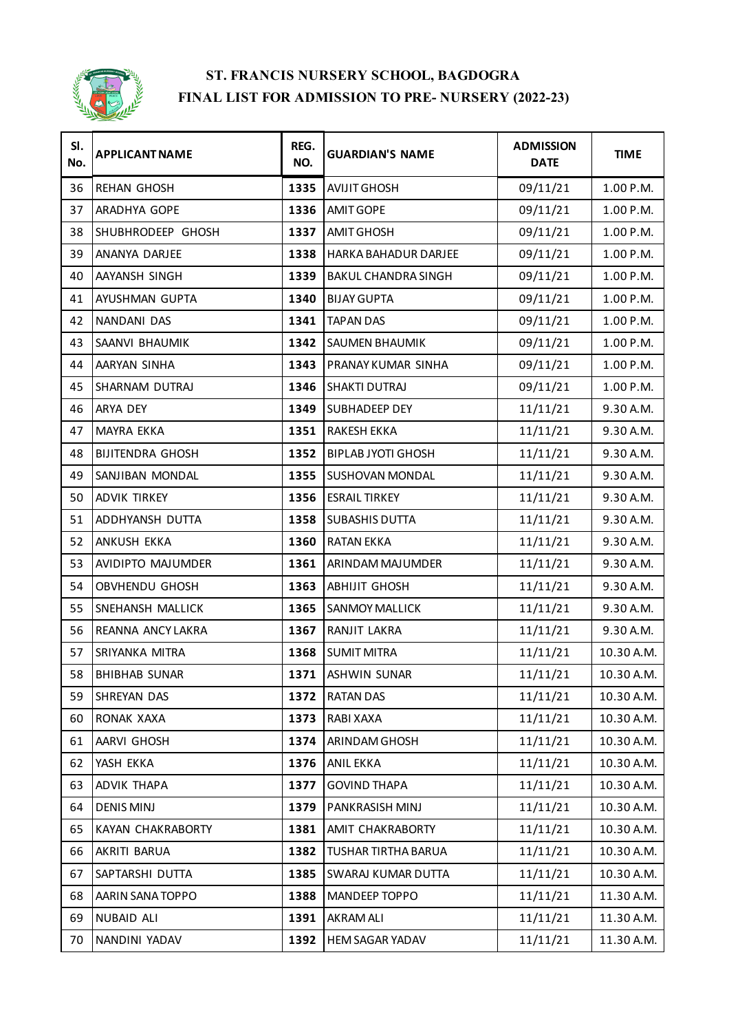

| SI.<br>No. | <b>APPLICANT NAME</b>    | REG.<br>NO. | <b>GUARDIAN'S NAME</b>    | <b>ADMISSION</b><br><b>DATE</b> | <b>TIME</b> |
|------------|--------------------------|-------------|---------------------------|---------------------------------|-------------|
| 36         | <b>REHAN GHOSH</b>       | 1335        | <b>AVIJIT GHOSH</b>       | 09/11/21                        | 1.00 P.M.   |
| 37         | ARADHYA GOPE             | 1336        | <b>AMIT GOPE</b>          | 09/11/21                        | 1.00 P.M.   |
| 38         | SHUBHRODEEP GHOSH        | 1337        | <b>AMIT GHOSH</b>         | 09/11/21                        | 1.00 P.M.   |
| 39         | ANANYA DARJEE            | 1338        | HARKA BAHADUR DARJEE      | 09/11/21                        | 1.00 P.M.   |
| 40         | AAYANSH SINGH            | 1339        | BAKUL CHANDRA SINGH       | 09/11/21                        | 1.00 P.M.   |
| 41         | AYUSHMAN GUPTA           | 1340        | <b>BIJAY GUPTA</b>        | 09/11/21                        | 1.00 P.M.   |
| 42         | NANDANI DAS              | 1341        | <b>TAPAN DAS</b>          | 09/11/21                        | 1.00 P.M.   |
| 43         | SAANVI BHAUMIK           | 1342        | SAUMEN BHAUMIK            | 09/11/21                        | 1.00 P.M.   |
| 44         | AARYAN SINHA             | 1343        | PRANAY KUMAR SINHA        | 09/11/21                        | 1.00 P.M.   |
| 45         | SHARNAM DUTRAJ           | 1346        | <b>SHAKTI DUTRAJ</b>      | 09/11/21                        | 1.00 P.M.   |
| 46         | ARYA DEY                 | 1349        | SUBHADEEP DEY             | 11/11/21                        | 9.30 A.M.   |
| 47         | <b>MAYRA EKKA</b>        | 1351        | <b>RAKESH EKKA</b>        | 11/11/21                        | 9.30 A.M.   |
| 48         | <b>BIJITENDRA GHOSH</b>  | 1352        | <b>BIPLAB JYOTI GHOSH</b> | 11/11/21                        | 9.30 A.M.   |
| 49         | SANJIBAN MONDAL          | 1355        | SUSHOVAN MONDAL           | 11/11/21                        | 9.30 A.M.   |
| 50         | <b>ADVIK TIRKEY</b>      | 1356        | <b>ESRAIL TIRKEY</b>      | 11/11/21                        | 9.30 A.M.   |
| 51         | ADDHYANSH DUTTA          | 1358        | <b>SUBASHIS DUTTA</b>     | 11/11/21                        | 9.30 A.M.   |
| 52         | ANKUSH EKKA              | 1360        | <b>RATAN EKKA</b>         | 11/11/21                        | 9.30 A.M.   |
| 53         | AVIDIPTO MAJUMDER        | 1361        | ARINDAM MAJUMDER          | 11/11/21                        | 9.30 A.M.   |
| 54         | OBVHENDU GHOSH           | 1363        | <b>ABHIJIT GHOSH</b>      | 11/11/21                        | 9.30 A.M.   |
| 55         | SNEHANSH MALLICK         | 1365        | <b>SANMOY MALLICK</b>     | 11/11/21                        | 9.30 A.M.   |
| 56         | <b>REANNA ANCY LAKRA</b> | 1367        | RANJIT LAKRA              | 11/11/21                        | 9.30 A.M.   |
| 57         | SRIYANKA MITRA           | 1368        | <b>SUMIT MITRA</b>        | 11/11/21                        | 10.30 A.M.  |
| 58         | <b>BHIBHAB SUNAR</b>     | 1371        | <b>ASHWIN SUNAR</b>       | 11/11/21                        | 10.30 A.M.  |
| 59         | <b>SHREYAN DAS</b>       | 1372        | <b>RATAN DAS</b>          | 11/11/21                        | 10.30 A.M.  |
| 60         | RONAK XAXA               | 1373        | RABI XAXA                 | 11/11/21                        | 10.30 A.M.  |
| 61         | AARVI GHOSH              | 1374        | ARINDAM GHOSH             | 11/11/21                        | 10.30 A.M.  |
| 62         | YASH EKKA                | 1376        | <b>ANIL EKKA</b>          | 11/11/21                        | 10.30 A.M.  |
| 63         | ADVIK THAPA              | 1377        | <b>GOVIND THAPA</b>       | 11/11/21                        | 10.30 A.M.  |
| 64         | <b>DENIS MINJ</b>        | 1379        | PANKRASISH MINJ           | 11/11/21                        | 10.30 A.M.  |
| 65         | KAYAN CHAKRABORTY        | 1381        | AMIT CHAKRABORTY          | 11/11/21                        | 10.30 A.M.  |
| 66         | AKRITI BARUA             | 1382        | TUSHAR TIRTHA BARUA       | 11/11/21                        | 10.30 A.M.  |
| 67         | SAPTARSHI DUTTA          | 1385        | SWARAJ KUMAR DUTTA        | 11/11/21                        | 10.30 A.M.  |
| 68         | AARIN SANA TOPPO         | 1388        | MANDEEP TOPPO             | 11/11/21                        | 11.30 A.M.  |
| 69         | NUBAID ALI               | 1391        | <b>AKRAM ALI</b>          | 11/11/21                        | 11.30 A.M.  |
| 70         | NANDINI YADAV            | 1392        | HEM SAGAR YADAV           | 11/11/21                        | 11.30 A.M.  |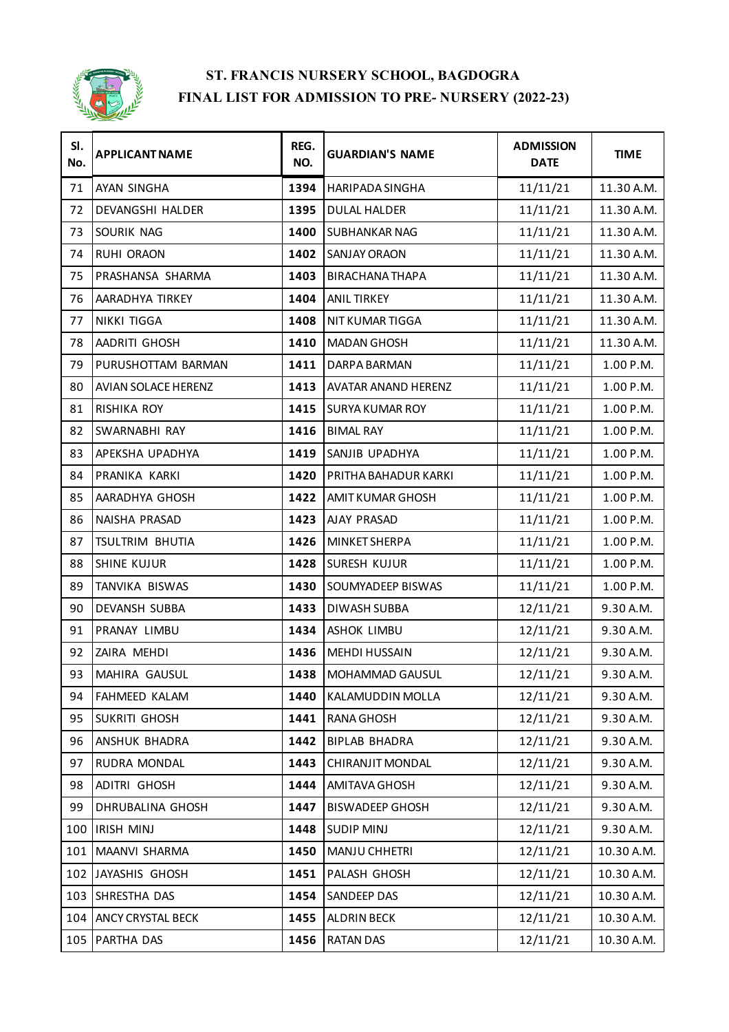

| SI.<br>No. | <b>APPLICANT NAME</b>    | REG.<br>NO. | <b>GUARDIAN'S NAME</b>     | <b>ADMISSION</b><br><b>DATE</b> | <b>TIME</b> |
|------------|--------------------------|-------------|----------------------------|---------------------------------|-------------|
| 71         | <b>AYAN SINGHA</b>       | 1394        | <b>HARIPADA SINGHA</b>     | 11/11/21                        | 11.30 A.M.  |
| 72         | DEVANGSHI HALDER         | 1395        | <b>DULAL HALDER</b>        | 11/11/21                        | 11.30 A.M.  |
| 73         | SOURIK NAG               | 1400        | SUBHANKAR NAG              | 11/11/21                        | 11.30 A.M.  |
| 74         | RUHI ORAON               | 1402        | <b>SANJAY ORAON</b>        | 11/11/21                        | 11.30 A.M.  |
| 75         | PRASHANSA SHARMA         | 1403        | <b>BIRACHANA THAPA</b>     | 11/11/21                        | 11.30 A.M.  |
| 76         | AARADHYA TIRKEY          | 1404        | <b>ANIL TIRKEY</b>         | 11/11/21                        | 11.30 A.M.  |
| 77         | NIKKI TIGGA              | 1408        | NIT KUMAR TIGGA            | 11/11/21                        | 11.30 A.M.  |
| 78         | AADRITI GHOSH            | 1410        | <b>MADAN GHOSH</b>         | 11/11/21                        | 11.30 A.M.  |
| 79         | PURUSHOTTAM BARMAN       | 1411        | DARPA BARMAN               | 11/11/21                        | 1.00 P.M.   |
| 80         | AVIAN SOLACE HERENZ      | 1413        | <b>AVATAR ANAND HERENZ</b> | 11/11/21                        | 1.00 P.M.   |
| 81         | RISHIKA ROY              | 1415        | <b>SURYA KUMAR ROY</b>     | 11/11/21                        | 1.00 P.M.   |
| 82         | SWARNABHI RAY            | 1416        | <b>BIMAL RAY</b>           | 11/11/21                        | 1.00 P.M.   |
| 83         | APEKSHA UPADHYA          | 1419        | SANJIB UPADHYA             | 11/11/21                        | 1.00 P.M.   |
| 84         | PRANIKA KARKI            | 1420        | PRITHA BAHADUR KARKI       | 11/11/21                        | 1.00 P.M.   |
| 85         | AARADHYA GHOSH           | 1422        | AMIT KUMAR GHOSH           | 11/11/21                        | 1.00 P.M.   |
| 86         | NAISHA PRASAD            | 1423        | AJAY PRASAD                | 11/11/21                        | 1.00 P.M.   |
| 87         | TSULTRIM BHUTIA          | 1426        | MINKET SHERPA              | 11/11/21                        | 1.00 P.M.   |
| 88         | <b>SHINE KUJUR</b>       | 1428        | SURESH KUJUR               | 11/11/21                        | 1.00 P.M.   |
| 89         | TANVIKA BISWAS           | 1430        | SOUMYADEEP BISWAS          | 11/11/21                        | 1.00 P.M.   |
| 90         | DEVANSH SUBBA            | 1433        | DIWASH SUBBA               | 12/11/21                        | 9.30 A.M.   |
| 91         | PRANAY LIMBU             | 1434        | ASHOK LIMBU                | 12/11/21                        | 9.30 A.M.   |
| 92         | ZAIRA MEHDI              | 1436        | <b>MEHDI HUSSAIN</b>       | 12/11/21                        | 9.30 A.M.   |
| 93         | MAHIRA GAUSUL            | 1438        | MOHAMMAD GAUSUL            | 12/11/21                        | 9.30 A.M.   |
| 94         | <b>FAHMEED KALAM</b>     | 1440        | KALAMUDDIN MOLLA           | 12/11/21                        | 9.30 A.M.   |
| 95         | SUKRITI GHOSH            | 1441        | RANA GHOSH                 | 12/11/21                        | 9.30 A.M.   |
| 96         | ANSHUK BHADRA            | 1442        | <b>BIPLAB BHADRA</b>       | 12/11/21                        | 9.30 A.M.   |
| 97         | RUDRA MONDAL             | 1443        | CHIRANJIT MONDAL           | 12/11/21                        | 9.30 A.M.   |
| 98         | ADITRI GHOSH             | 1444        | AMITAVA GHOSH              | 12/11/21                        | 9.30 A.M.   |
| 99         | DHRUBALINA GHOSH         | 1447        | <b>BISWADEEP GHOSH</b>     | 12/11/21                        | 9.30 A.M.   |
| 100        | <b>IRISH MINJ</b>        | 1448        | <b>SUDIP MINJ</b>          | 12/11/21                        | 9.30 A.M.   |
| 101        | MAANVI SHARMA            | 1450        | MANJU CHHETRI              | 12/11/21                        | 10.30 A.M.  |
|            | 102 JAYASHIS GHOSH       | 1451        | PALASH GHOSH               | 12/11/21                        | 10.30 A.M.  |
| 103        | <b>SHRESTHA DAS</b>      | 1454        | SANDEEP DAS                | 12/11/21                        | 10.30 A.M.  |
| 104        | <b>ANCY CRYSTAL BECK</b> | 1455        | ALDRIN BECK                | 12/11/21                        | 10.30 A.M.  |
|            | 105 PARTHA DAS           | 1456        | <b>RATAN DAS</b>           | 12/11/21                        | 10.30 A.M.  |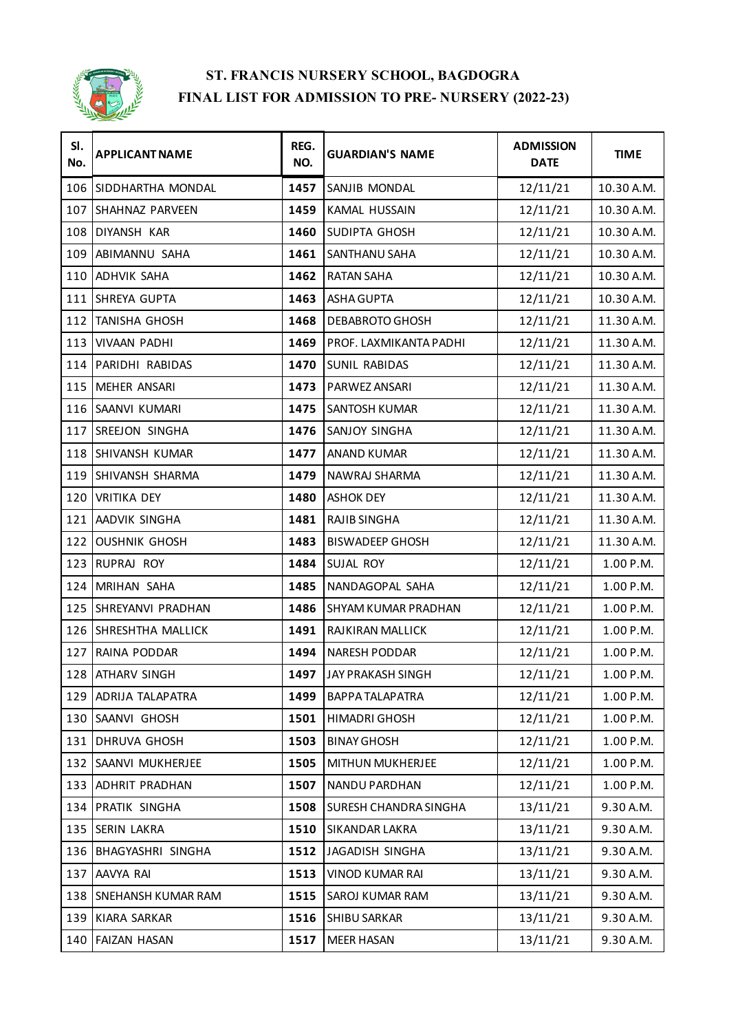

| SI.<br>No. | <b>APPLICANT NAME</b>     | REG.<br>NO. | <b>GUARDIAN'S NAME</b> | <b>ADMISSION</b><br><b>DATE</b> | <b>TIME</b> |
|------------|---------------------------|-------------|------------------------|---------------------------------|-------------|
|            | 106 SIDDHARTHA MONDAL     | 1457        | SANJIB MONDAL          | 12/11/21                        | 10.30 A.M.  |
| 107        | SHAHNAZ PARVEEN           | 1459        | KAMAL HUSSAIN          | 12/11/21                        | 10.30 A.M.  |
|            | 108 DIYANSH KAR           | 1460        | SUDIPTA GHOSH          | 12/11/21                        | 10.30 A.M.  |
| 109        | ABIMANNU SAHA             | 1461        | SANTHANU SAHA          | 12/11/21                        | 10.30 A.M.  |
|            | 110 ADHVIK SAHA           | 1462        | <b>RATAN SAHA</b>      | 12/11/21                        | 10.30 A.M.  |
|            | 111 SHREYA GUPTA          | 1463        | ASHA GUPTA             | 12/11/21                        | 10.30 A.M.  |
|            | 112 TANISHA GHOSH         | 1468        | DEBABROTO GHOSH        | 12/11/21                        | 11.30 A.M.  |
| 113        | <b>VIVAAN PADHI</b>       | 1469        | PROF. LAXMIKANTA PADHI | 12/11/21                        | 11.30 A.M.  |
|            | 114 PARIDHI RABIDAS       | 1470        | SUNIL RABIDAS          | 12/11/21                        | 11.30 A.M.  |
|            | 115 MEHER ANSARI          | 1473        | PARWEZ ANSARI          | 12/11/21                        | 11.30 A.M.  |
|            | 116 SAANVI KUMARI         | 1475        | SANTOSH KUMAR          | 12/11/21                        | 11.30 A.M.  |
| 117        | SREEJON SINGHA            | 1476        | SANJOY SINGHA          | 12/11/21                        | 11.30 A.M.  |
|            | 118 SHIVANSH KUMAR        | 1477        | <b>ANAND KUMAR</b>     | 12/11/21                        | 11.30 A.M.  |
|            | 119 SHIVANSH SHARMA       | 1479        | NAWRAJ SHARMA          | 12/11/21                        | 11.30 A.M.  |
|            | 120 VRITIKA DEY           | 1480        | <b>ASHOK DEY</b>       | 12/11/21                        | 11.30 A.M.  |
|            | 121 AADVIK SINGHA         | 1481        | <b>RAJIB SINGHA</b>    | 12/11/21                        | 11.30 A.M.  |
|            | 122 OUSHNIK GHOSH         | 1483        | <b>BISWADEEP GHOSH</b> | 12/11/21                        | 11.30 A.M.  |
|            | 123 RUPRAJ ROY            | 1484        | SUJAL ROY              | 12/11/21                        | 1.00 P.M.   |
|            | 124 MRIHAN SAHA           | 1485        | NANDAGOPAL SAHA        | 12/11/21                        | 1.00 P.M.   |
|            | 125 SHREYANVI PRADHAN     | 1486        | SHYAM KUMAR PRADHAN    | 12/11/21                        | 1.00 P.M.   |
|            | 126 SHRESHTHA MALLICK     | 1491        | RAJKIRAN MALLICK       | 12/11/21                        | 1.00 P.M.   |
| 127        | RAINA PODDAR              | 1494        | <b>NARESH PODDAR</b>   | 12/11/21                        | 1.00 P.M.   |
|            | 128 ATHARV SINGH          | 1497        | JAY PRAKASH SINGH      | 12/11/21                        | 1.00 P.M.   |
|            | 129 ADRIJA TALAPATRA      | 1499        | <b>BAPPA TALAPATRA</b> | 12/11/21                        | 1.00 P.M.   |
|            | 130 SAANVI GHOSH          | 1501        | HIMADRI GHOSH          | 12/11/21                        | 1.00 P.M.   |
|            | 131 DHRUVA GHOSH          | 1503        | <b>BINAY GHOSH</b>     | 12/11/21                        | 1.00 P.M.   |
|            | 132 SAANVI MUKHERJEE      | 1505        | MITHUN MUKHERJEE       | 12/11/21                        | 1.00 P.M.   |
|            | 133 ADHRIT PRADHAN        | 1507        | NANDU PARDHAN          | 12/11/21                        | 1.00 P.M.   |
|            | 134 PRATIK SINGHA         | 1508        | SURESH CHANDRA SINGHA  | 13/11/21                        | 9.30 A.M.   |
|            | 135 SERIN LAKRA           | 1510        | SIKANDAR LAKRA         | 13/11/21                        | 9.30 A.M.   |
| 136        | BHAGYASHRI SINGHA         | 1512        | JAGADISH SINGHA        | 13/11/21                        | 9.30 A.M.   |
| 137        | AAVYA RAI                 | 1513        | VINOD KUMAR RAI        | 13/11/21                        | 9.30 A.M.   |
| 138        | <b>SNEHANSH KUMAR RAM</b> | 1515        | SAROJ KUMAR RAM        | 13/11/21                        | 9.30 A.M.   |
| 139        | KIARA SARKAR              | 1516        | SHIBU SARKAR           | 13/11/21                        | 9.30 A.M.   |
|            | 140 FAIZAN HASAN          | 1517        | <b>MEER HASAN</b>      | 13/11/21                        | 9.30 A.M.   |